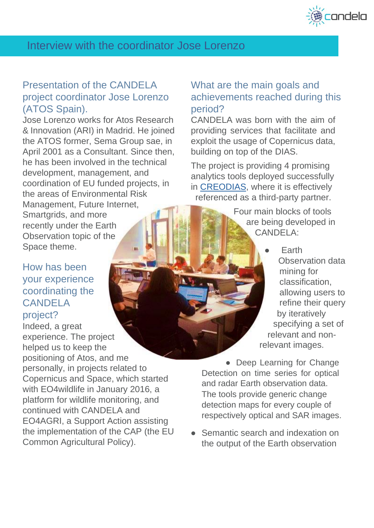

# Interview with the coordinator Jose Lorenzo

## Presentation of the CANDELA project coordinator Jose Lorenzo (ATOS Spain).

Jose Lorenzo works for Atos Research & Innovation (ARI) in Madrid. He joined the ATOS former, Sema Group sae, in April 2001 as a Consultant. Since then, he has been involved in the technical development, management, and coordination of EU funded projects, in the areas of Environmental Risk Management, Future Internet, Smartgrids, and more recently under the Earth Observation topic of the Space theme.

#### How has been your experience coordinating the **CANDELA** project?

Indeed, a great experience. The project helped us to keep the positioning of Atos, and me personally, in projects related to Copernicus and Space, which started with EO4wildlife in January 2016, a platform for wildlife monitoring, and continued with CANDELA and EO4AGRI, a Support Action assisting the implementation of the CAP (the EU Common Agricultural Policy).

### What are the main goals and achievements reached during this period?

CANDELA was born with the aim of providing services that facilitate and exploit the usage of Copernicus data, building on top of the DIAS.

The project is providing 4 promising analytics tools deployed successfully in [CREODIAS,](https://creodias.eu/) where it is effectively referenced as a third-party partner.

> Four main blocks of tools are being developed in CANDELA:

> > **Earth** Observation data mining for classification, allowing users to refine their query by iteratively specifying a set of relevant and nonrelevant images.

• Deep Learning for Change Detection on time series for optical and radar Earth observation data. The tools provide generic change detection maps for every couple of respectively optical and SAR images.

● Semantic search and indexation on the output of the Earth observation